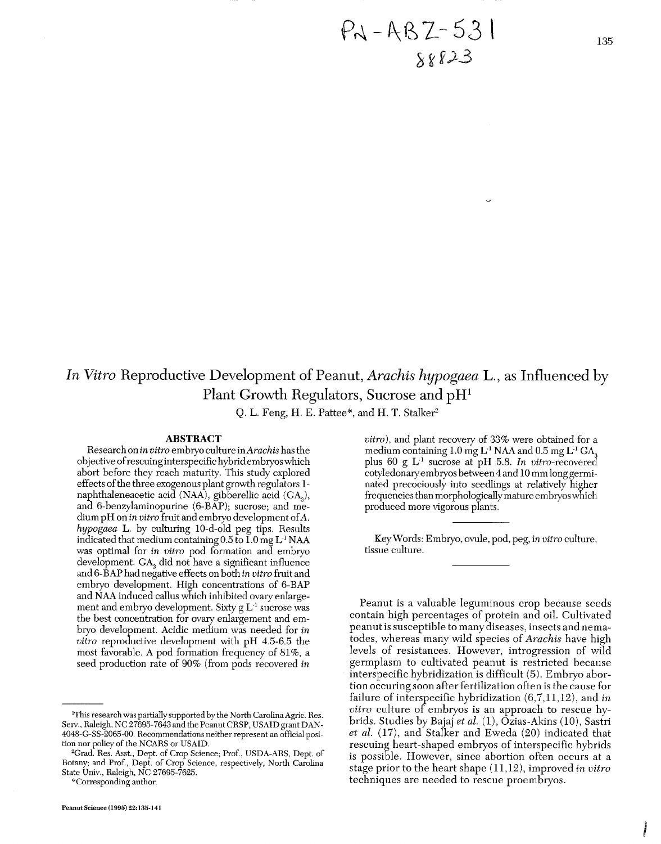# *In Vitro* Reproductive Development of Peanut, *Arachis hypogaea* L., as Influenced by Plant Growth Regulators, Sucrose and pH1

Q. L. Feng, H. E. Pattee\*, and H. T. Stalker<sup>2</sup>

#### **ABSTRACT**

Research on in vitro embryo culture in Arachis has the objective ofrescuinginterspecific hybridembryos which abort before they reach maturity. This study explored effects of the three exogenous plant growth regulators 1naphthaleneacetic acid (NAA), gibberellic acid (GA,), and 6-benzylaminopurine (6-BAP); sucrose; and medium pH on in vitro fruit and embryo development ofA. hypogaea L. by culturing 10-d-old peg tips. Results indicated that medium containing  $0.5$  to  $1.0$  mg  $L<sup>-1</sup> NAA$ was optimal for in vitro pod formation and embryo development.  $\text{GA}_3$  did not have a significant influence and 6-BAP had negative effects on both in vitro fruit and embryo development. High concentrations of 6-BAP and NAA induced callus which inhibited ovary enlargement and embryo development. Sixty  $g L<sup>1</sup>$  sucrose was the best concentration for ovary enlargement and embryo development. Acidic medium was needed for in vitro reproductive development with pH 4.5-6.5 the most favorable. A pod formation frequency of 81%, a seed production rate of 90% (from pods recovered in

\*Corresponding author.

vitro), and plant recovery of **33%** were obtained for a medium containing  $1.0$  mg L<sup>-1</sup> NAA and  $0.5$  mg L<sup>-1</sup> GA<sub>3</sub> plus 60 g L-' sucrose at pH 5.8. In vitro-recovered cotyledonary embryos between 4 and 10 mm long germinated precociously into seedlings at relatively higher frequencies than morphologically mature embryos which produced more vigorous plants.

Key Words: Embryo, ovule, pod, peg, in vitro culture, tissue culture.

Peanut is a valuable leguminous crop because seeds contain high percentages of protein and oil. Cultivated peanut is susceptible to many diseases, insects and nematodes, whereas many wild species of Arachis have high levels of resistances. However, introgression of wild germplasm to cultivated peanut is restricted because interspecific hybridization is difficult (5). Embryo abortion occuring soon after fertilization often is the cause for failure of interspecific hybridization  $(6,7,11,12)$ , and in vitro culture of embryos is an approach to rescue hybrids. Studies by Bajaj et al. (1), Ozias-Akins (10), Sastri et al. (17), and Stalker and Eweda (20) indicated that rescuing heart-shaped embryos of interspecific hybrids is possible. However, since abortion often occurs at a stage prior to the heart shape (11,12), improved in vitro techniques are needed to rescue proembryos.

<sup>&#</sup>x27;This research was partially supported by the North Carolina Agric. Res. Sew., Raleigh, NC 27695-7643 and the Peanut CRSP, USAID grant DAN-4048-G-SS-2065-00. Recommendations neither represent an official position nor policy of the NCARS or USAID.

<sup>&</sup>lt;sup>2</sup>Grad. Res. Asst., Dept. of Crop Science; Prof., USDA-ARS, Dept. of Botany; and Prof., Dept. of Crop Science, respectively, North Carolina State Univ., Raleigh, NC 27695-7625.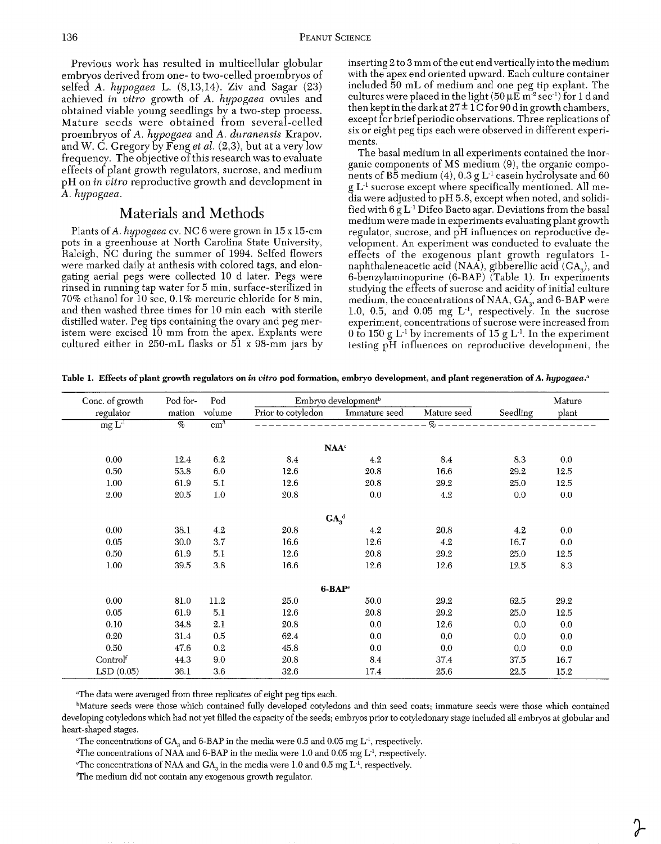Previous work has resulted in multicellular globular embryos derived from one- to two-celled proembryos of selfed A. *hypogaea* L. (8,13,14). Ziv and Sagar (23) achieved in *vitro* growth of *A. hypogaea* ovules and obtained viable young seedlings by a two-step process. Mature seeds were obtained from several-celled proembryos of A. *hypogaea* and *A. duranensis* Krapov. and *W.* C. Gregory by Feng *et al.* (2,3), but at a very low frequency. The objective of this research was to evaluate effects of plant growth regulators, sucrose, and medium pH on *in vitro* reproductive growth and development in A. *hypogaea.* 

# Materials and Methods

Plants of A. *hypogaea* cv. NC 6 were grown in 15 x 15-cm pots in a greenhouse at North Carolina State University, Raleigh, NC during the summer of 1994. Selfed flowers were marked daily at anthesis with colored tags, and elongating aerial pegs were collected 10 d later. Pegs were rinsed in running tap water for 5 min, surface-sterilized in 70% ethanol for 10 sec, 0.1% mercuric chloride for 8 min, and then washed three times for 10 min each with sterile distilled water. Peg tips containing the ovary and peg meristem were excised 10 mm from the apex. Explants were cultured either in 250-mL flasks or 51 x 98-mm jars by inserting 2 to 3 mm of the cut end vertically into the medium with the apex end oriented upward. Each culture container included 50 mL of medium and one peg tip explant. The cultures were placed in the light (50 **pE** m-2 sec-') for 1 d and then kept in the dark at  $27 \pm 1$  C for 90 d in growth chambers, except for brief periodic observations. Three replications of six or eight peg tips each were observed in different experiments.

The basal medium in all experiments contained the inorganic components of MS medium (9), the organic components of B5 medium (4), 0.3 g L<sup>1</sup> casein hydrolysate and 60 g L-' sucrose except where specifically mentioned. All media were adjusted to pH 5.8, except when noted, and solidified with  $6 g L<sup>1</sup>$  Difco Bacto agar. Deviations from the basal medium were made in experiments evaluating plant growth regulator, sucrose, and pH influences on reproductive development. An experiment was conducted to evaluate the effects of the exogenous plant growth regulators 1 naphthaleneacetic acid (NAA), gibberellic acid (GA<sub>3</sub>), and 6-benzylaminopurine (6-BAP) (Table 1). In experiments studying the effects of sucrose and acidity of initial culture medium, the concentrations of NAA,  $GA_3$ , and 6-BAP were 1.0, 0.5, and 0.05 mg L-l, respectively. In the sucrose experiment, concentrations of sucrose were increased from 0 to 150 g  $L^{-1}$  by increments of 15 g  $L^{-1}$ . In the experiment testing pH influences on reproductive development, the

**Table 1. Effects of plant growth regulators on** *in uitro* **pod formation, embryo development, and plant regeneration of A.** *hypogae~.~* 

| Conc. of growth | Pod for- | Pod          | Embryo development <sup>b</sup> |                  |             |          | Mature |
|-----------------|----------|--------------|---------------------------------|------------------|-------------|----------|--------|
| regulator       | mation   | volume       | Prior to cotyledon              | Immature seed    | Mature seed | Seedling | plant  |
| $mgL-1$         | $\%$     | $\rm cm^{3}$ |                                 |                  | $\%$ –      |          |        |
|                 |          |              |                                 | $\mathbf{NAA}^c$ |             |          |        |
| 0.00            | 12.4     | 6.2          | 8.4                             | 4.2              | 8.4         | 8.3      | 0.0    |
| 0.50            | 53.8     | 6.0          | 12.6                            | 20.8             | 16.6        | 29.2     | 12.5   |
| 1.00            | 61.9     | 5.1          | 12.6                            | 20.8             | 29.2        | 25.0     | 12.5   |
| 2.00            | 20.5     | 1.0          | 20.8                            | 0.0              | 4.2         | 0.0      | 0.0    |
|                 |          |              |                                 | $GA_a^d$         |             |          |        |
| 0.00            | 38.1     | 4.2          | 20.8                            | 4.2              | 20.8        | 4.2      | 0.0    |
| 0.05            | 30.0     | 3.7          | 16.6                            | 12.6             | 4.2         | 16.7     | 0.0    |
| 0.50            | 61.9     | 5.1          | 12.6                            | 20.8             | 29.2        | 25.0     | 12.5   |
| 1.00            | 39.5     | 3.8          | 16.6                            | 12.6             | 12.6        | 12.5     | 8.3    |
|                 |          |              |                                 | $6-BAPe$         |             |          |        |
| 0.00            | 81.0     | 11.2         | 25.0                            | 50.0             | 29.2        | 62.5     | 29.2   |
| 0.05            | 61.9     | $5.1\,$      | $12.6\,$                        | 20.8             | 29.2        | 25.0     | 12.5   |
| 0.10            | 34.8     | 2.1          | 20.8                            | 0.0              | 12.6        | 0.0      | 0.0    |
| 0.20            | 31.4     | $0.5\,$      | 62.4                            | 0.0              | 0.0         | 0.0      | 0.0    |
| 0.50            | 47.6     | 0.2          | 45.8                            | 0.0              | 0.0         | 0.0      | 0.0    |
| Controlf        | 44.3     | 9.0          | 20.8                            | 8.4              | 37.4        | 37.5     | 16.7   |
| LSD(0.05)       | 36.1     | 3.6          | 32.6                            | 17.4             | 25.6        | 22.5     | 15.2   |

<sup>a</sup>The data were averaged from three replicates of eight peg tips each.

bMature seeds were those which contained fully developed cotyledons and thin seed coats; immature seeds were those which contained developing cotyledons which had not yet filled the capacity of the seeds; embryos prior to cotyledonary stage included all embryos at globular and heart-shaped stages.

The concentrations of  $GA$ <sub>2</sub> and 6-BAP in the media were 0.5 and 0.05 mg  $L^{-1}$ , respectively.

<sup>d</sup>The concentrations of NAA and 6-BAP in the media were 1.0 and 0.05 mg L<sup>-1</sup>, respectively.

<sup>e</sup>The concentrations of NAA and GA<sub>3</sub> in the media were 1.0 and 0.5 mg  $L<sup>-1</sup>$ , respectively.

(The medium did not contain any exogenous growth regulator.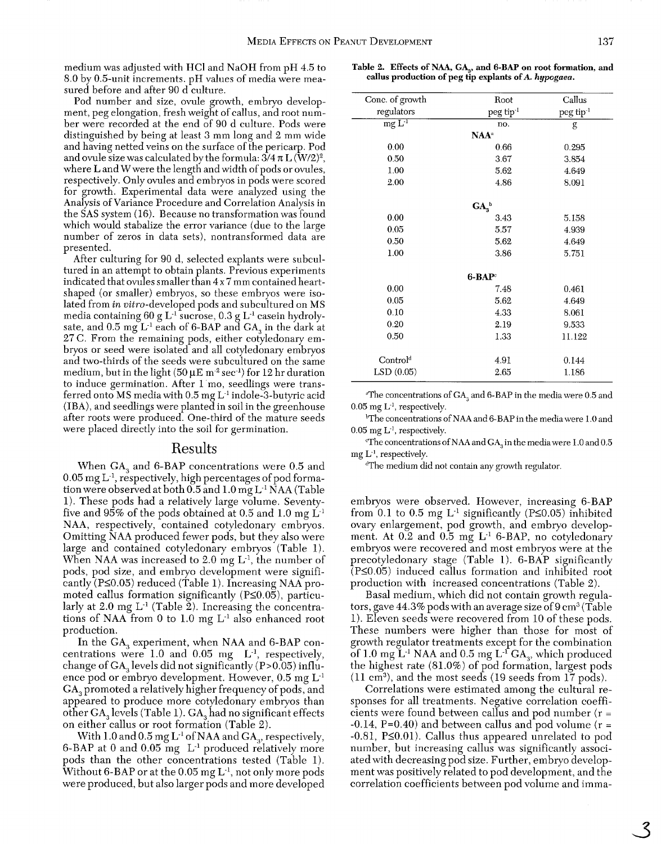medium was adjusted with HCl and NaOH from pH 4.5 to 8.0 by 0.5-unit increments. pH values of media were measured before and after 90 d culture.

Pod number and size, ovule growth, embryo development, peg elongation, fresh weight of callus, and root number were recorded at the end of 90 d culture. Pods were distinguished by being at least 3 mm long and 2 mm wide and having netted veins on the surface of the pericarp. Pod and ovule size was calculated by the formula:  $3/4 \pi L (W/2)^2$ , where Land Wwere the length and width of pods or ovules, respectively. Only ovules and embryos in pods were scored for growth. Experimental data were analyzed using the Analysis of Variance Procedure and Correlation Analysis in the SAS system (16). Because no transformation was found which would stabalize the error variance (due to the large number of zeros in data sets), nontransformed data are oresented. **<sup>I</sup>**

After culturing for 90 d, selected explants were subcultured in an attempt to obtain plants. Previous experiments indicated that ovules smaller than 4 x 7 mm contained heartshaped (or smaller) embryos, so these embryos were isolated from in vitro-developed pods and subcultured on MS media containing 60 g  $L^{-1}$  sucrose, 0.3 g  $L^{-1}$  casein hydrolysate, and  $0.5 \text{ mg } L^{-1}$  each of 6-BAP and  $GA$ , in the dark at 27 C. From the remaining pods, either cotyledonary embrvos or seed were isolated and all cotvledonarv embrvos and two-thirds of the seeds were subcultured on the same medium, but in the light (50  $\mu$ E m<sup>-2</sup> sec<sup>-1</sup>) for 12 hr duration to induce germination. After 1 mo, seedlings were transferred onto MS media with 0.5 mg L-' indole-3-butyric acid (IBA), and seedlings were planted in soil in the greenhouse after roots were produced. One-third of the mature seeds were placed directly into the soil for germination.

#### Results

When GA, and 6-BAP concentrations were 0.5 and  $0.05$  mg L<sup>-1</sup>, respectively, high percentages of pod formation were observed at both  $0.5$  and  $1.0$  mg L<sup>-1</sup> NAA (Table 1). These pods had a relatively large volume. Seventyfive and  $95\%$  of the pods obtained at 0.5 and 1.0 mg  $L<sup>-1</sup>$ NAA, respectively, contained cotyledonary embryos. Omitting NAA produced fewer pods, but they also were large and contained cotyledonary embryos (Table 1). When NAA was increased to  $2.0 \text{ mg L}^1$ , the number of pods, pod size, and embryo development were significantly  $(P\leq 0.05)$  reduced (Table 1). Increasing NAA promoted callus formation significantly ( $P\leq 0.05$ ), particularly at 2.0 mg  $L^1$  (Table 2). Increasing the concentrations of NAA from 0 to 1.0 mg L-' also enhanced root production.

In the GA, experiment, when NAA and 6-BAP concentrations were 1.0 and 0.05 mg  $L^{-1}$ , respectively, change of  $GA$ <sub>s</sub> levels did not significantly (P>0.05) influence pod or embryo development. However,  $0.5 \text{ mg L}^1$ GA, promoted a relatively higher frequency of pods, and appeared to produce more cotyledonary embryos than other GA, levels (Table 1). GA, had no significant effects on either callus or root formation (Table 2).

With 1.0 and 0.5 mg  $L^{-1}$  of NAA and  $GA_a$ , respectively, 6-BAP at 0 and  $0.05$  mg  $L^{-1}$  produced relatively more pods than the other concentrations tested (Table 1). Without 6-BAP or at the 0.05 mg  $L^{-1}$ , not only more pods were produced, but also larger pods and more developed

**Table 2. Effects of NAA,** *G&,* **and 6-BAP on root formation, and callus production of peg tip explants of A. hypogaea.** 

| Conc. of growth      | Root                         | Callus                |
|----------------------|------------------------------|-----------------------|
| regulators           | peg tip <sup>-1</sup>        | peg tip <sup>-1</sup> |
| $mgL-1$              | no.                          | g                     |
|                      | $NAA^a$                      |                       |
| 0.00                 | 0.66                         | 0.295                 |
| 0.50                 | 3.67                         | 3.854                 |
| 1.00                 | 5.62                         | 4.649                 |
| 2.00                 | 4.86                         | 8.091                 |
|                      | GA <sub>3</sub> <sup>b</sup> |                       |
| 0.00                 | 3.43                         | 5.158                 |
| 0.05                 | 5.57                         | 4.939                 |
| 0.50                 | 5.62                         | 4.649                 |
| 1.00                 | 3.86                         | 5.751                 |
|                      | $6 - BAPc$                   |                       |
| 0.00                 | 7.48                         | 0.461                 |
| 0.05                 | 5.62                         | 4.649                 |
| 0.10                 | 4.33                         | 8.061                 |
| 0.20                 | 2.19                         | 9.533                 |
| 0.50                 | 1.33                         | 11.122                |
| Control <sup>d</sup> | 4.91                         | 0.144                 |
| LSD(0.05)            | 2.65                         | 1.186                 |

"The concentrations of GA, and 6-BAP in the media were 0.5 and  $0.05$  mg  $L<sup>1</sup>$ , respectively.

bThe concentrations of NAA and 6-BAP in the media were 1.0 and  $0.05$  mg  $L<sup>1</sup>$ , respectively.

'The concentrations of NAA and GA, in the media were 1.0 and 0.5 mg L-', respectively.

dThe medium did not contain any growth regulator.

embryos were observed. However, increasing 6-BAP from 0.1 to 0.5 mg  $L^{-1}$  significantly (P $\leq$ 0.05) inhibited ovary enlargement, pod growth, and embryo development. At  $0.2$  and  $0.5$  mg  $L<sup>-1</sup>$  6-BAP, no cotyledonary embryos were recovered and most embryos were at the precotyledonary stage (Table 1). 6-BAP significantly  $($ P $\leq$ 0.05) induced callus formation and inhibited root production with increased concentrations (Table 2).

Basal medium, which did not contain growth regulators, gave 44.3% pods with an average size of  $9 \text{ cm}^3 \text{/Table}$ 1). Eleven seeds were recovered from 10 of these pods. These numbers were higher than those for most of growth regulator treatments except for the combination of 1.0 mg  $\mathrm{L}^{1}$  NAA and 0.5 mg  $\mathrm{L}^{1}$  GA<sub>3</sub>, which produced the highest rate (81.0%) of pod formation, largest pods (11 cm3), and the most seeds (19 seeds from 17 pods).

Correlations were estimated among the cultural responses for all treatments. Negative correlation coefficients were found between callus and pod number  $(r =$  $-0.14$ , P=0.40) and between callus and pod volume (r =  $-0.81$ , P $\leq$ 0.01). Callus thus appeared unrelated to pod number, but increasing callus was significantly associated with decreasing pod size. Further, embryo development was positively related to pod development, and the correlation coefficients between pod volume and imma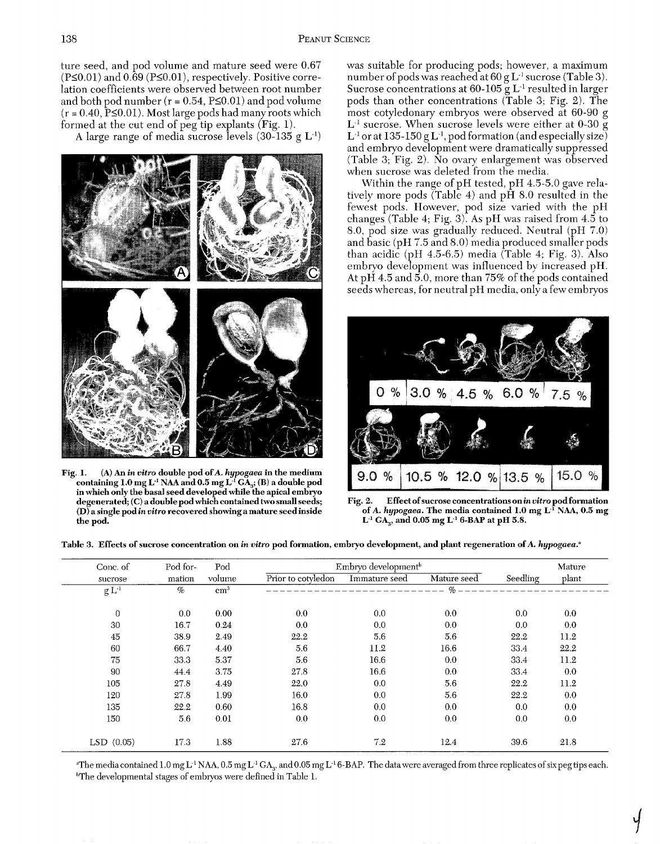ture seed, and pod volume and mature seed were  $0.67$  was suitable for producing pods; however, a maximum ( $P\leq 0.01$ ) and  $0.69$  ( $P\leq 0.01$ ), respectively. Positive corre-<br>number of pods was reached at  $60 g L^{-1}$  sucro  $(r = 0.40, \tilde{P} \le 0.01)$ . Most large pods had many roots which formed at the cut end of peg tip explants (Fig. 1).



Fig. 1. (A) An in vitro double pod of A. hypogaea in the medium **containing 1.0 mg L-I NAA and 0.5 mg L-'** GA,; **(B) a double pod**  in which only the basal seed developed while the apical embryo

(P $\leq$ 0.01) and 0.69 (P $\leq$ 0.01), respectively. Positive corre-<br>lation coefficients were observed between root number Sucrose concentrations at 60-105 g L<sup>-1</sup> resulted in larger lation coefficients were observed between root number Sucrose concentrations at 60-105 g L<sup>-1</sup> resulted in larger<br>and both pod number (r = 0.54, P≤0.01) and pod volume pods than other concentrations (Table 3; Fig. 2). The pods than other concentrations (Table 3; Fig. 2). The most cotyledonary embryos were observed at 60-90 g med at the cut end of peg tip explants (Fig. 1). L<sup>1</sup> sucrose. When sucrose levels were either at 0-30 g<br>A large range of media sucrose levels (30-135 g L<sup>1</sup>) L<sup>1</sup> or at 135-150 g L<sup>1</sup>, pod formation (and especially size) and embryo development were dramatically suppressed (Table 3; Fig. 2). No ovary enlargement was observed when sucrose was deleted from the media.

> Within the range of pH tested. pH 4.5-5.0 gave relatively more pods  $(Table 4)$  and  $p\hat{H} 8.0$  resulted in the fewest pods. However, pod size varied with the pH changes (Table 4; Fig. 3). As pH was raised from  $4.5$  to 8.0, pod size was gradually reduced. Neutral (pH 7.0) and basic (pH 7.5 and 8.0) media produced smaller pods than acidic  $(pH 4.5-6.5)$  media (Table 4; Fig. 3). Also embryo development was influenced by increased pH. At pH 4.5 and 5.0, more than 75% of the pods contained<br>seeds whereas, for neutral pH media, only a few embryos



degenerated; (C) a double pod which contained two small seeds; Fig. 2. Effect of sucrose concentrations on *in vitro* pod formation *(D)* a single pod *in vitro* recovered showing a mature seed inside of *A. hypogaea*. The (D) a single pod *in vitro recovered showing a mature seed inside* of A. *hypogaea*. The media contained 1.0 mg L<sup>-I</sup> NAA, 0.5 mg the pod.  $L^1$  GA<sub>3</sub>, and 0.05 mg  $L^1$  6-BAP at pH 5.8.

**Table 3. Effects of sucrose concentration on in vitro pod formation, embryo development, and plant regeneration of A. hypogaea."** 

| Conc. of         | Pod for- | Pod        |                    | Embryo development <sup>b</sup> |             |          | Mature |  |
|------------------|----------|------------|--------------------|---------------------------------|-------------|----------|--------|--|
| sucrose          | mation   | volume     | Prior to cotyledon | Immature seed                   | Mature seed | Seedling | plant  |  |
| g L <sup>1</sup> | $\%$     | $\rm cm^3$ |                    |                                 | $\%$        |          |        |  |
| $\theta$         | 0.0      | 0.00       | 0.0                | 0.0                             | 0.0         | 0.0      | 0.0    |  |
| 30               | 16.7     | 0.24       | 0.0                | 0.0                             | 0.0         | 0.0      | 0.0    |  |
| 45               | 38.9     | 2.49       | 22.2               | 5.6                             | 5.6         | 22.2     | 11.2   |  |
| 60               | 66.7     | 4.40       | 5.6                | 11.2                            | 16.6        | 33.4     | 22.2   |  |
| 75               | 33.3     | 5.37       | 5.6                | 16.6                            | 0.0         | 33.4     | 11.2   |  |
| 90               | 44.4     | 3.75       | 27.8               | 16.6                            | 0.0         | 33.4     | 0.0    |  |
| 105              | 27.8     | 4.49       | 22.0               | 0.0                             | 5.6         | 22.2     | 11.2   |  |
| 120              | 27.8     | 1.99       | 16.0               | 0.0                             | 5.6         | 22.2     | 0.0    |  |
| 135              | 22.2     | 0.60       | 16.8               | 0.0                             | 0.0         | 0.0      | 0.0    |  |
| 150              | 5.6      | 0.01       | 0.0                | 0.0                             | 0.0         | 0.0      | 0.0    |  |
| $LSD$ $(0.05)$   | 17.3     | 1.88       | 27.6               | 7.2                             | 12.4        | 39.6     | 21.8   |  |

"The media contained 1.0 mg L<sup>-1</sup> NAA, 0.5 mg L<sup>-1</sup> GA<sub>v</sub>, and 0.05 mg L<sup>-1</sup> 6-BAP. The data were averaged from three replicates of six peg tips each. 'The developmental stages of embryos were defined in Table 1.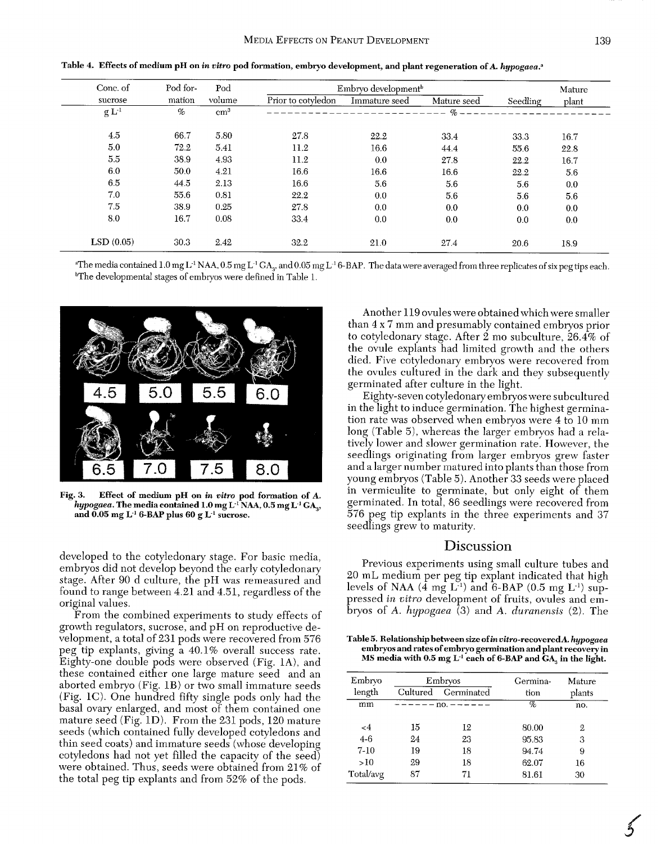| Conc. of  | Pod for- | Pod        | Embryo development <sup>b</sup> |               |             |          | Mature |
|-----------|----------|------------|---------------------------------|---------------|-------------|----------|--------|
| sucrose   | mation   | volume     | Prior to cotyledon              | Immature seed | Mature seed | Seedling | plant  |
| $g L-1$   | $\%$     | $\rm cm^3$ |                                 |               | $\%$ -      |          |        |
| 4.5       | 66.7     | 5.80       | 27.8                            | 22.2          | 33.4        | 33.3     | 16.7   |
| 5.0       | 72.2     | 5.41       | 11.2                            | 16.6          | 44.4        | 55.6     | 22.8   |
| 5.5       | 38.9     | 4.93       | 11.2                            | 0.0           | 27.8        | 22.2     | 16.7   |
| 6.0       | 50.0     | 4.21       | 16.6                            | 16.6          | 16.6        | 22.2     | 5.6    |
| 6.5       | 44.5     | 2.13       | 16.6                            | 5.6           | 5.6         | 5.6      | 0.0    |
| 7.0       | 55.6     | 0.81       | 22.2                            | 0.0           | 5.6         | 5.6      | 5.6    |
| 7.5       | 38.9     | 0.25       | 27.8                            | 0.0           | 0.0         | 0.0      | 0.0    |
| 8.0       | 16.7     | 0.08       | 33.4                            | 0.0           | 0.0         | 0.0      | 0.0    |
| LSD(0.05) | 30.3     | 2.42       | 32.2                            | 21.0          | 27.4        | 20.6     | 18.9   |

Table 4. Effects of medium pH on in vitro pod formation, embryo development, and plant regeneration of A. hypogaea.<sup>a</sup>

"The media contained 1.0 mg L<sup>-1</sup> NAA, 0.5 mg L<sup>-1</sup> GA<sub>2</sub>, and 0.05 mg L<sup>-1</sup> 6-BAP. The data were averaged from three replicates of six peg tips each. bThe developmental stages of embryos were defined in Table 1.



**Fig. 3. Effect of medium pH on in vitro pod formation of A. hypogaea. The media contained 1.0 mg L-' NAA, 0.5 mg L.' GA,, and 0.05 mg L-' 6-BAP plus 60 g L-' sucrose.** 

developed to the cotyledonary stage. For basic media, embryos did not develop beyond the early cotyledonary stage. After 90 d culture, the pH was remeasured and found to range between 4.21 and 4.51, regardless of the original values.

From the combined experiments to study effects of growth regulators, sucrose, and pH on reproductive development, a total of 231 pods were recovered from 576 peg tip explants, giving a 40.1% overall success rate. Eighty-one double pods were observed (Fig. lA), and these contained either one large mature seed and an aborted embryo (Fig. 1B) or two small immature seeds (Fig. 1C). One hundred fifty single pods only had the basal ovary enlarged, and most of them contained one mature seed (Fig. ID). From the 231 pods, 120 mature seeds (which contained fully developed cotyledons and thin seed coats) and immature seeds (whose developing cotyledons had not yet filled the capacity of the seed) were obtained. Thus, seeds were obtained from 21% of the total peg tip explants and from 52% of the pods.

Another 119 ovules were obtained which were smaller than 4 x 7 mm and presumably contained embryos prior to cotyledonary stage. After 2 mo subculture, 26.4% of the ovule explants had limited growth and the others died. Five cotyledonary embryos were recovered from the ovules cultured in the dark and they subsequently germinated after culture in the light.

Eighty-seven cotyledonary embryos were subcultured in the light to induce germination. The highest germination rate was observed when embryos were 4 to 10 mm long (Table 5), whereas the larger embryos had a relatively lower and slower germination rate. Howeyer, the seedlings originating from larger embryos grew faster and a larger number matured into plants than those from young embryos (Table *5).* Another 33 seeds were placed in vermiculite to germinate, but only eight of them germinated. In total, 86 seedlings were recovered from 576 peg tip explants in the three experiments and 37 seedlings grew to maturity.

### **Discussion**

Previous experiments using small culture tubes and 20 mL medium per peg tip explant indicated that high levels of NAA  $(\bar{4} \text{ mg } L^{-1})$  and 6-BAP  $(0.5 \text{ mg } L^{-1})$  suppressed *in vitro* development of fruits, ovules and embryos of A. *hypogaea* (3) and *A. duranensis* (2). The

**Table 5. Relationship between size of in vitro-recoveredd. hypogaea embryos and rates of embryo germination and plant recoveryin MS media with 0.5 mg L-' each of 6-BAP and GA, in the light.** 

| Embryo<br>length | Embryos<br>Cultured Germinated |                           | Germina-<br>tion | Mature<br>plants |
|------------------|--------------------------------|---------------------------|------------------|------------------|
| mm               |                                | - – – – – no. – – – – – – | q,               | no.              |
| $\leq 4$         | 15                             | 12                        | 80.00            | 2                |
| $4 - 6$          | 24                             | 23                        | 95.83            | 3                |
| $7 - 10$         | 19                             | 18                        | 94.74            | 9                |
| >10              | 29                             | 18                        | 62.07            | 16               |
| Total/avg        | 87                             | 71                        | 81.61            | 30               |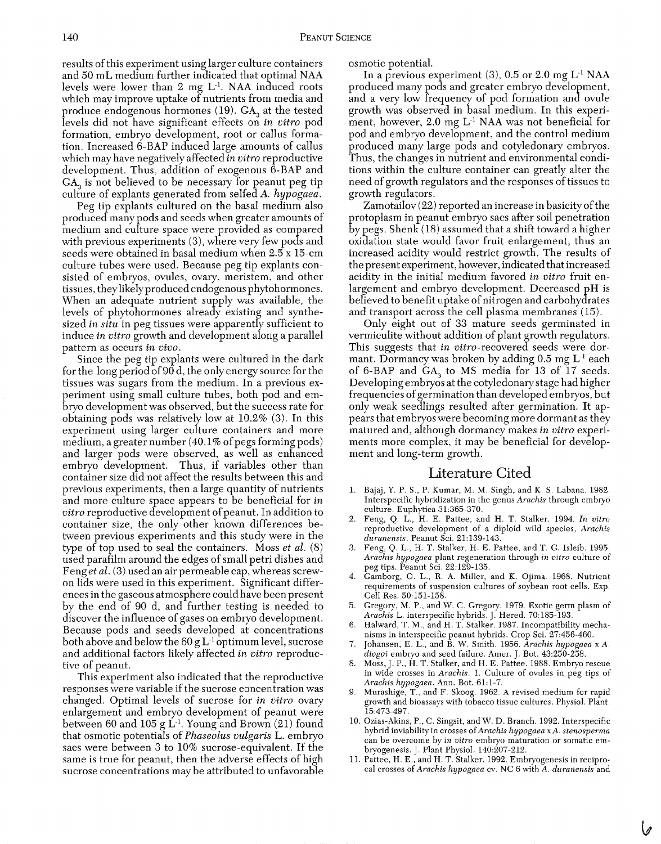results of this experiment using larger culture containers and 50 mL medium further indicated that optimal NAA levels were lower than 2 mg L-'. NAA induced roots which may improve uptake of nutrients from media and produce endogenous hormones (19). GA, at the tested levels did not have significant effects on in vitro pod formation, embryo development, root or callus formation. Increased 6-BAP induced large amounts of callus which may have negatively affected in vitro reproductive development. Thus, addition of exogenous 6-BAP and GA, is not believed to be necessary for peanut peg tip culture of explants generated from selfed A. hypogaea.

Peg tip explants cultured on the basal medium also produced many pods and seeds when greater amounts of medium and culture space were provided as compared with previous experiments (3), where very few pods and seeds were obtained in basal medium when 2.5 x 15-cm culture tubes were used. Because peg tip explants consisted of embryos, ovules, ovary, meristem, and other tissues, they likely produced endogenous phytohormones. When an adequate nutrient supply was available, the levels of phytohormones already existing and synthesized in situ in peg tissues were apparently sufficient to induce in vitro growth and development along a parallel pattern as occurs in vivo.

Since the peg tip explants were cultured in the dark for the long period of 90 d, the only energy source for the tissues was sugars from the medium. In a previous experiment using small culture tubes, both pod and embryo development was observed, but the success rate for obtaining pods was relatively low at 10.2% (3). In this experiment using larger culture containers and more medium, a greater number (40.1% of pegs forming pods) and larger pods were observed, as well as enhanced embryo development. Thus, if variables other than container size did not affect the results between this and previous experiments, then a large quantity of nutrients and more culture space appears to be beneficial for in vitro reproductive development of peanut. In addition to container size, the only other known differences between previous experiments and this study were in the type of top used to seal the containers. Moss et al.  $(8)$ used parafilm around the edges of small petri dishes and Fenget al. (3) used an air permeable cap, whereas screwon lids were used in this experiment. Significant differences in the gaseous atmosphere could have been present by the end of 90 d, and further testing is needed to discover the influence of gases on embryo development. Because pods and seeds developed at concentrations both above and below the  $60 g L^{-1}$  optimum level, sucrose and additional factors likely affected in vitro reproductive of peanut.

This experiment also indicated that the reproductive responses were variable if the sucrose concentration was changed. Optimal levels of sucrose for in vitro ovary enlargement and embryo development of peanut were between 60 and 105 g  $L^{-1}$ . Young and Brown (21) found that osmotic potentials of Phaseolus vulgaris L. embryo sacs were between 3 to 10% sucrose-equivalent. If the same is true for peanut, then the adverse effects of high sucrose concentrations may be attributed to unfavorable osmotic potential.

In a previous experiment  $(3)$ , 0.5 or 2.0 mg L<sup>-1</sup> NAA produced many pods and greater embryo development, and a very low frequency of pod formation and ovule growth was observed in basal medium. In this experiment, however, 2.0 mg L-' NAA was not beneficial for pod and embryo development, and the control medium produced many large pods and cotyledonary embryos. Thus, the changes in nutrient and environmental conditions within the culture container can greatly alter the need of growth regulators and the responses of tissues to growth regulators.

Zamotailov (22) reported an increase in basicity of the protoplasm in peanut embryo sacs after soil penetration by pegs. Shenk  $(18)$  assumed that a shift toward a higher oxidation state would favor fruit enlargement, thus an increased acidity would restrict growth. The results of the present experiment, however, indicated that increased acidity in the initial medium favored in vitro fruit enlargement and embryo development. Decreased pH is believed to benefit uptake of nitrogen and carbohydrates and transport across the cell plasma membranes (15).

Only eight out of 33 mature seeds germinated in vermiculite without addition of plant growth regulators. This suggests that in vitro-recovered seeds were dormant. Dormancy was broken by adding  $0.5$  mg  $L^{-1}$  each of 6-BAP and GA, to MS media for 13 of 17 seeds. Developing embryos at the cotyledonary stage had higher frequencies of germination than developed embryos, but only weak seedlings resulted after germination. It appears that embryos were becoming more dormant as they matured and, although dormancy makes in vitro experiments more complex, it may be beneficial for development and long-term growth.

## Literature Cited

- 1. Bajaj, Y. P. S., P. Kumar, M. M. Singh, and K. S. Labana. 1982. Interspecific hybridization in the genus *Arachis* through embryo culture. Euphytica 31:365-370.
- 2. Feng, Q. L., H. E. Pattee, and H. T. Stalker. 1994. *In vitro*  reproductive development of a diploid wild species, *Arachis duranensis.* Peanut Sci. 21:139-143.
- 3. Feng, Q. L., H. T. Stalker, H. E. Pattee, and T. **6.** Isleib. 1995. Arachis hypogaea plant regeneration through *in vitro* culture of peg tips. Peanut Sci. 22:129-135.
- 4. Gamborg, 0. L., R. A. Miller, and K. Ojima. 1968. Nutrient requirements of suspension cultures of soybean root cells. Exp. Cell Res. 50:151-158.
- 5. Gregory, M. P., and W. C. Gregory. 1979. Exotic germ plasm of Arachis L. interspecific hybrids. J. Hered. 70:185-193.
- 6. Halward, T. M., and H. T. Stalker. 1987. Incompatibility mechanisms in interspecific peanut hybrids. Crop Sci. 27:456-460.
- 7. Johansen, E. L., and B. W. Smith. 1956. *Arachis hypogaea* x *A. diogoi* embryo and seed failure. Amer. J. Bot. 43:250-258.
- Moss, J. P., H. T. Stalker, and H. E. Pattee. 1988. Embryo rescue in wide crosses in *Arachis.* 1. Culture of ovules in peg tips of *Arachis hypogaea.* Ann. Bot. 61:l-7.
- Murashige, T., and F. Skoog. 1962. A revised medium for rapid growth and bioassays with tobacco tissue cultures. Physiol. Plant. 15:473-497.
- 10. Ozias-Akins, P., **C.** Singsit, and W. D. Branch. 1992. Interspecific hybrid inviability in crosses of *Arachis hypogaea* x *A. stenosperma*  can be overcome by *in vitro* embryo maturation or somatic embryogenesis. J. Plant Physiol. 140:207-212.
- 11. Pattee, H. E., and H. T. Stalker. 1992. Embryogenesis in reciprocal crosses of *Arachis hypogaea* cv. NC 6 with *A. duranensis* and